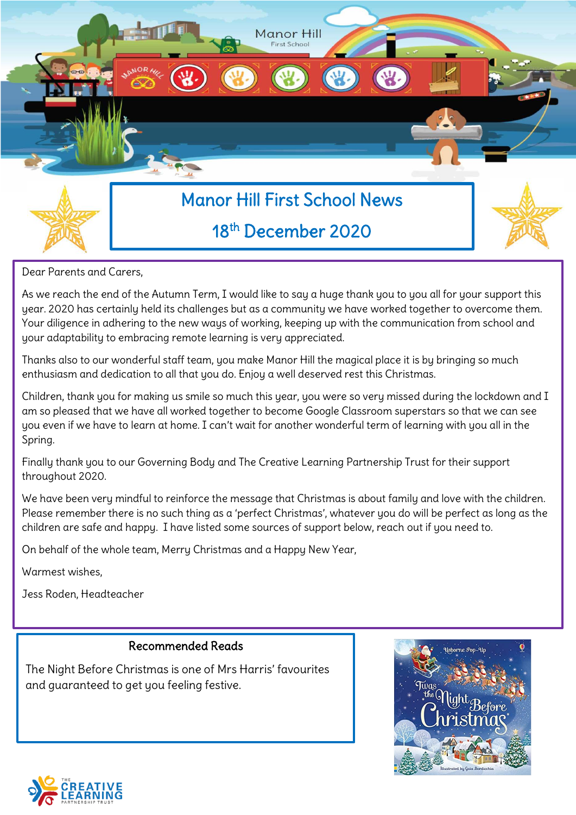

# 18 th December 2020

Dear Parents and Carers,

As we reach the end of the Autumn Term, I would like to say a huge thank you to you all for your support this year. 2020 has certainly held its challenges but as a community we have worked together to overcome them. Your diligence in adhering to the new ways of working, keeping up with the communication from school and your adaptability to embracing remote learning is very appreciated.

Thanks also to our wonderful staff team, you make Manor Hill the magical place it is by bringing so much enthusiasm and dedication to all that you do. Enjoy a well deserved rest this Christmas.

Children, thank you for making us smile so much this year, you were so very missed during the lockdown and I am so pleased that we have all worked together to become Google Classroom superstars so that we can see you even if we have to learn at home. I can't wait for another wonderful term of learning with you all in the Spring.

Finally thank you to our Governing Body and The Creative Learning Partnership Trust for their support throughout 2020.

We have been very mindful to reinforce the message that Christmas is about family and love with the children. Please remember there is no such thing as a 'perfect Christmas', whatever you do will be perfect as long as the children are safe and happy. I have listed some sources of support below, reach out if you need to.

On behalf of the whole team, Merry Christmas and a Happy New Year,

Warmest wishes,

Jess Roden, Headteacher

#### Recommended Reads

The Night Before Christmas is one of Mrs Harris' favourites and guaranteed to get you feeling festive.